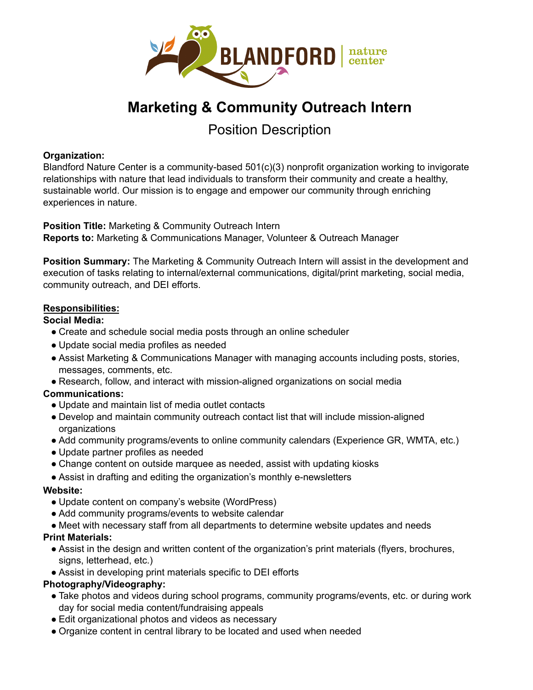

# **Marketing & Community Outreach Intern**

Position Description

#### **Organization:**

Blandford Nature Center is a community-based 501(c)(3) nonprofit organization working to invigorate relationships with nature that lead individuals to transform their community and create a healthy, sustainable world. Our mission is to engage and empower our community through enriching experiences in nature.

**Position Title:** Marketing & Community Outreach Intern **Reports to:** Marketing & Communications Manager, Volunteer & Outreach Manager

**Position Summary:** The Marketing & Community Outreach Intern will assist in the development and execution of tasks relating to internal/external communications, digital/print marketing, social media, community outreach, and DEI efforts.

#### **Responsibilities:**

#### **Social Media:**

- Create and schedule social media posts through an online scheduler
- Update social media profiles as needed
- Assist Marketing & Communications Manager with managing accounts including posts, stories, messages, comments, etc.
- Research, follow, and interact with mission-aligned organizations on social media

# **Communications:**

- Update and maintain list of media outlet contacts
- Develop and maintain community outreach contact list that will include mission-aligned organizations
- Add community programs/events to online community calendars (Experience GR, WMTA, etc.)
- Update partner profiles as needed
- Change content on outside marquee as needed, assist with updating kiosks
- Assist in drafting and editing the organization's monthly e-newsletters

#### **Website:**

- Update content on company's website (WordPress)
- Add community programs/events to website calendar
- Meet with necessary staff from all departments to determine website updates and needs

# **Print Materials:**

- Assist in the design and written content of the organization's print materials (flyers, brochures, signs, letterhead, etc.)
- Assist in developing print materials specific to DEI efforts

# **Photography/Videography:**

- Take photos and videos during school programs, community programs/events, etc. or during work day for social media content/fundraising appeals
- Edit organizational photos and videos as necessary
- Organize content in central library to be located and used when needed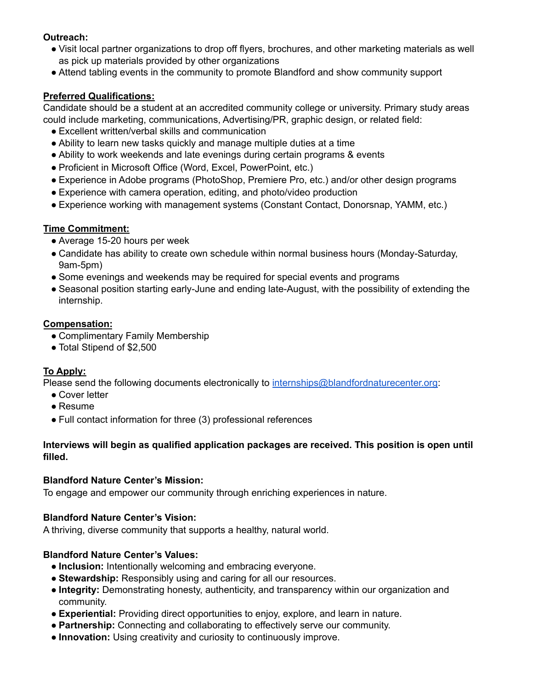# **Outreach:**

- Visit local partner organizations to drop off flyers, brochures, and other marketing materials as well as pick up materials provided by other organizations
- Attend tabling events in the community to promote Blandford and show community support

# **Preferred Qualifications:**

Candidate should be a student at an accredited community college or university. Primary study areas could include marketing, communications, Advertising/PR, graphic design, or related field:

- Excellent written/verbal skills and communication
- Ability to learn new tasks quickly and manage multiple duties at a time
- Ability to work weekends and late evenings during certain programs & events
- Proficient in Microsoft Office (Word, Excel, PowerPoint, etc.)
- Experience in Adobe programs (PhotoShop, Premiere Pro, etc.) and/or other design programs
- Experience with camera operation, editing, and photo/video production
- Experience working with management systems (Constant Contact, Donorsnap, YAMM, etc.)

# **Time Commitment:**

- Average 15-20 hours per week
- Candidate has ability to create own schedule within normal business hours (Monday-Saturday, 9am-5pm)
- Some evenings and weekends may be required for special events and programs
- Seasonal position starting early-June and ending late-August, with the possibility of extending the internship.

#### **Compensation:**

- Complimentary Family Membership
- Total Stipend of \$2,500

# **To Apply:**

Please send the following documents electronically to [internships@blandfordnaturecenter.org](mailto:internships@blandfordnaturecenter.org):

- Cover letter
- Resume
- Full contact information for three (3) professional references

#### **Interviews will begin as qualified application packages are received. This position is open until filled.**

#### **Blandford Nature Center's Mission:**

To engage and empower our community through enriching experiences in nature.

# **Blandford Nature Center's Vision:**

A thriving, diverse community that supports a healthy, natural world.

# **Blandford Nature Center's Values:**

- **Inclusion:** Intentionally welcoming and embracing everyone.
- **Stewardship:** Responsibly using and caring for all our resources.
- **Integrity:** Demonstrating honesty, authenticity, and transparency within our organization and community.
- **Experiential:** Providing direct opportunities to enjoy, explore, and learn in nature.
- **Partnership:** Connecting and collaborating to effectively serve our community.
- **Innovation:** Using creativity and curiosity to continuously improve.